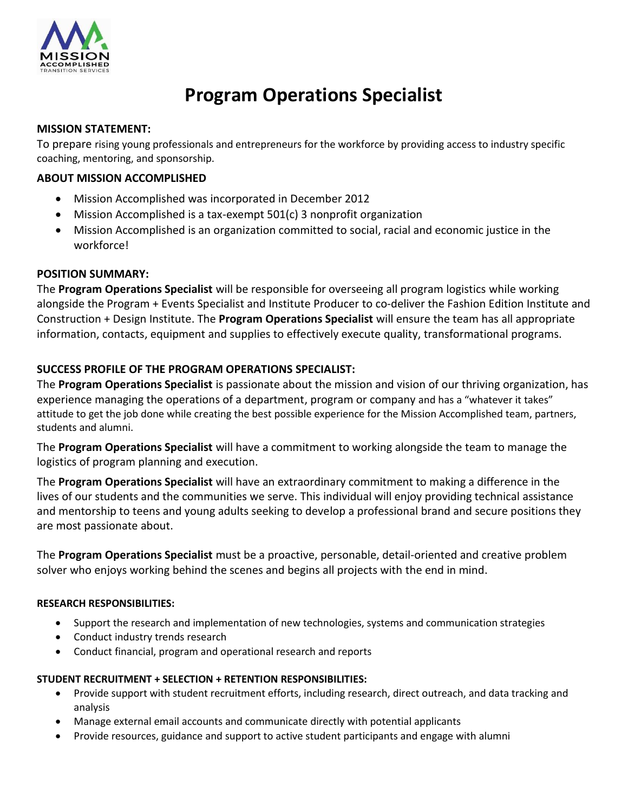

# **Program Operations Specialist**

#### **MISSION STATEMENT:**

To prepare rising young professionals and entrepreneurs for the workforce by providing access to industry specific coaching, mentoring, and sponsorship.

## **ABOUT MISSION ACCOMPLISHED**

- Mission Accomplished was incorporated in December 2012
- Mission Accomplished is a tax-exempt 501(c) 3 nonprofit organization
- Mission Accomplished is an organization committed to social, racial and economic justice in the workforce!

## **POSITION SUMMARY:**

The **Program Operations Specialist** will be responsible for overseeing all program logistics while working alongside the Program + Events Specialist and Institute Producer to co-deliver the Fashion Edition Institute and Construction + Design Institute. The **Program Operations Specialist** will ensure the team has all appropriate information, contacts, equipment and supplies to effectively execute quality, transformational programs.

## **SUCCESS PROFILE OF THE PROGRAM OPERATIONS SPECIALIST:**

The **Program Operations Specialist** is passionate about the mission and vision of our thriving organization, has experience managing the operations of a department, program or company and has a "whatever it takes" attitude to get the job done while creating the best possible experience for the Mission Accomplished team, partners, students and alumni.

The **Program Operations Specialist** will have a commitment to working alongside the team to manage the logistics of program planning and execution.

The **Program Operations Specialist** will have an extraordinary commitment to making a difference in the lives of our students and the communities we serve. This individual will enjoy providing technical assistance and mentorship to teens and young adults seeking to develop a professional brand and secure positions they are most passionate about.

The **Program Operations Specialist** must be a proactive, personable, detail-oriented and creative problem solver who enjoys working behind the scenes and begins all projects with the end in mind.

## **RESEARCH RESPONSIBILITIES:**

- Support the research and implementation of new technologies, systems and communication strategies
- Conduct industry trends research
- Conduct financial, program and operational research and reports

## **STUDENT RECRUITMENT + SELECTION + RETENTION RESPONSIBILITIES:**

- Provide support with student recruitment efforts, including research, direct outreach, and data tracking and analysis
- Manage external email accounts and communicate directly with potential applicants
- Provide resources, guidance and support to active student participants and engage with alumni